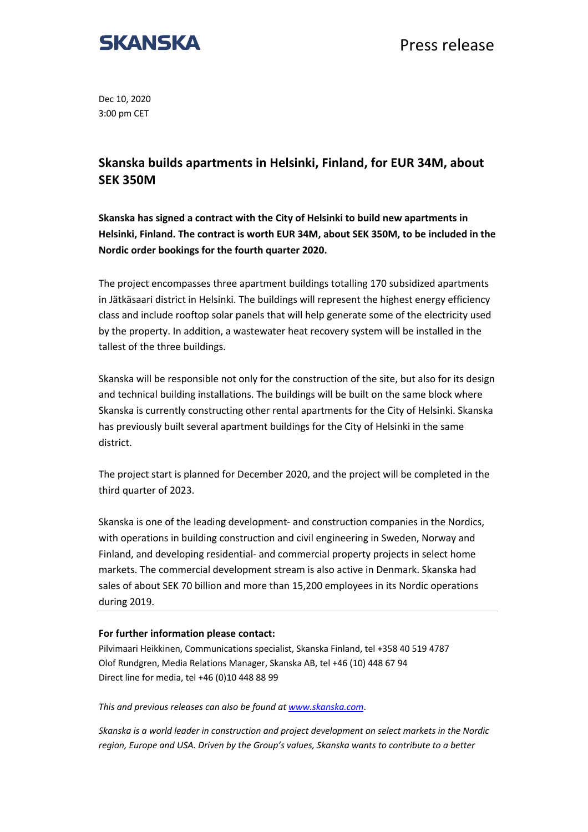

Press release

Dec 10, 2020 3:00 pm CET

## **Skanska builds apartments in Helsinki, Finland, for EUR 34M, about SEK 350M**

**Skanska has signed a contract with the City of Helsinki to build new apartments in Helsinki, Finland. The contract is worth EUR 34M, about SEK 350M, to be included in the Nordic order bookings for the fourth quarter 2020.**

The project encompasses three apartment buildings totalling 170 subsidized apartments in Jätkäsaari district in Helsinki. The buildings will represent the highest energy efficiency class and include rooftop solar panels that will help generate some of the electricity used by the property. In addition, a wastewater heat recovery system will be installed in the tallest of the three buildings.

Skanska will be responsible not only for the construction of the site, but also for its design and technical building installations. The buildings will be built on the same block where Skanska is currently constructing other rental apartments for the City of Helsinki. Skanska has previously built several apartment buildings for the City of Helsinki in the same district.

The project start is planned for December 2020, and the project will be completed in the third quarter of 2023.

Skanska is one of the leading development- and construction companies in the Nordics, with operations in building construction and civil engineering in Sweden, Norway and Finland, and developing residential- and commercial property projects in select home markets. The commercial development stream is also active in Denmark. Skanska had sales of about SEK 70 billion and more than 15,200 employees in its Nordic operations during 2019.

## **For further information please contact:**

Pilvimaari Heikkinen, Communications specialist, Skanska Finland, tel +358 40 519 4787 Olof Rundgren, Media Relations Manager, Skanska AB, tel +46 (10) 448 67 94 Direct line for media, tel +46 (0)10 448 88 99

*This and previous releases can also be found at www.skanska.com*.

*Skanska is a world leader in construction and project development on select markets in the Nordic region, Europe and USA. Driven by the Group's values, Skanska wants to contribute to a better*